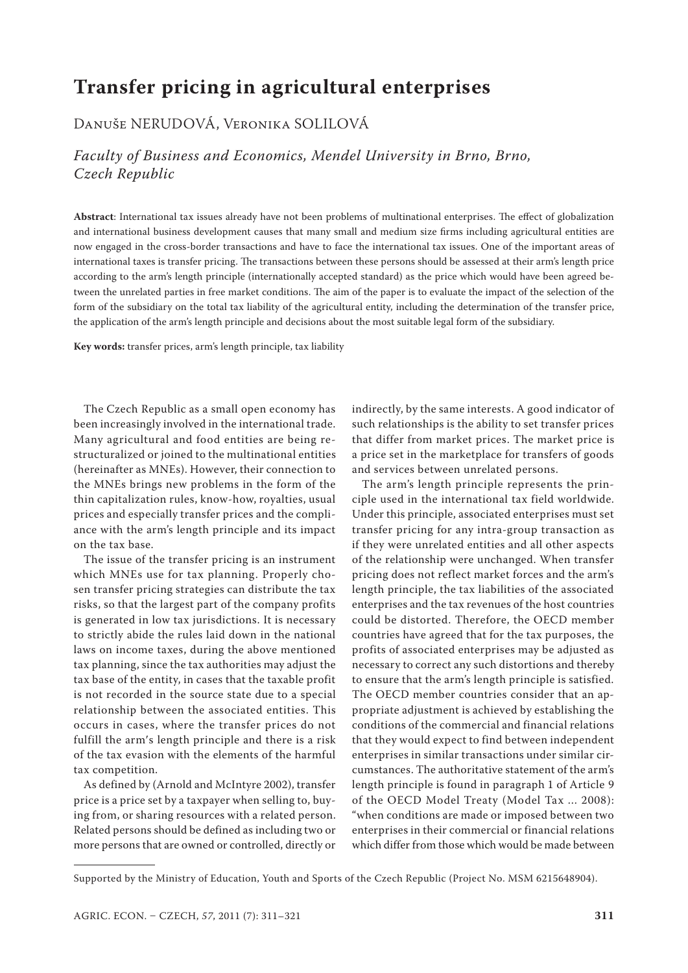# **Transfer pricing in agricultural enterprises**

Danuše Nerudová, Veronika Solilová

*Faculty of Business and Economics, Mendel University in Brno, Brno, Czech Republic*

**Abstract**: International tax issues already have not been problems of multinational enterprises. The effect of globalization and international business development causes that many small and medium size firms including agricultural entities are now engaged in the cross-border transactions and have to face the international tax issues. One of the important areas of international taxes is transfer pricing. The transactions between these persons should be assessed at their arm's length price according to the arm's length principle (internationally accepted standard) as the price which would have been agreed between the unrelated parties in free market conditions. The aim of the paper is to evaluate the impact of the selection of the form of the subsidiary on the total tax liability of the agricultural entity, including the determination of the transfer price, the application of the arm's length principle and decisions about the most suitable legal form of the subsidiary.

**Key words:** transfer prices, arm's length principle, tax liability

The Czech Republic as a small open economy has been increasingly involved in the international trade. Many agricultural and food entities are being restructuralized or joined to the multinational entities (hereinafter as MNEs). However, their connection to the MNEs brings new problems in the form of the thin capitalization rules, know-how, royalties, usual prices and especially transfer prices and the compliance with the arm's length principle and its impact on the tax base.

The issue of the transfer pricing is an instrument which MNEs use for tax planning. Properly chosen transfer pricing strategies can distribute the tax risks, so that the largest part of the company profits is generated in low tax jurisdictions. It is necessary to strictly abide the rules laid down in the national laws on income taxes, during the above mentioned tax planning, since the tax authorities may adjust the tax base of the entity, in cases that the taxable profit is not recorded in the source state due to a special relationship between the associated entities. This occurs in cases, where the transfer prices do not fulfill the arm′s length principle and there is a risk of the tax evasion with the elements of the harmful tax competition.

As defined by (Arnold and McIntyre 2002), transfer price is a price set by a taxpayer when selling to, buying from, or sharing resources with a related person. Related persons should be defined as including two or more persons that are owned or controlled, directly or

indirectly, by the same interests. A good indicator of such relationships is the ability to set transfer prices that differ from market prices. The market price is a price set in the marketplace for transfers of goods and services between unrelated persons.

The arm's length principle represents the principle used in the international tax field worldwide. Under this principle, associated enterprises must set transfer pricing for any intra-group transaction as if they were unrelated entities and all other aspects of the relationship were unchanged. When transfer pricing does not reflect market forces and the arm's length principle, the tax liabilities of the associated enterprises and the tax revenues of the host countries could be distorted. Therefore, the OECD member countries have agreed that for the tax purposes, the profits of associated enterprises may be adjusted as necessary to correct any such distortions and thereby to ensure that the arm's length principle is satisfied. The OECD member countries consider that an appropriate adjustment is achieved by establishing the conditions of the commercial and financial relations that they would expect to find between independent enterprises in similar transactions under similar circumstances. The authoritative statement of the arm's length principle is found in paragraph 1 of Article 9 of the OECD Model Treaty (Model Tax ... 2008): "when conditions are made or imposed between two enterprises in their commercial or financial relations which differ from those which would be made between

Supported by the Ministry of Education, Youth and Sports of the Czech Republic (Project No. MSM 6215648904).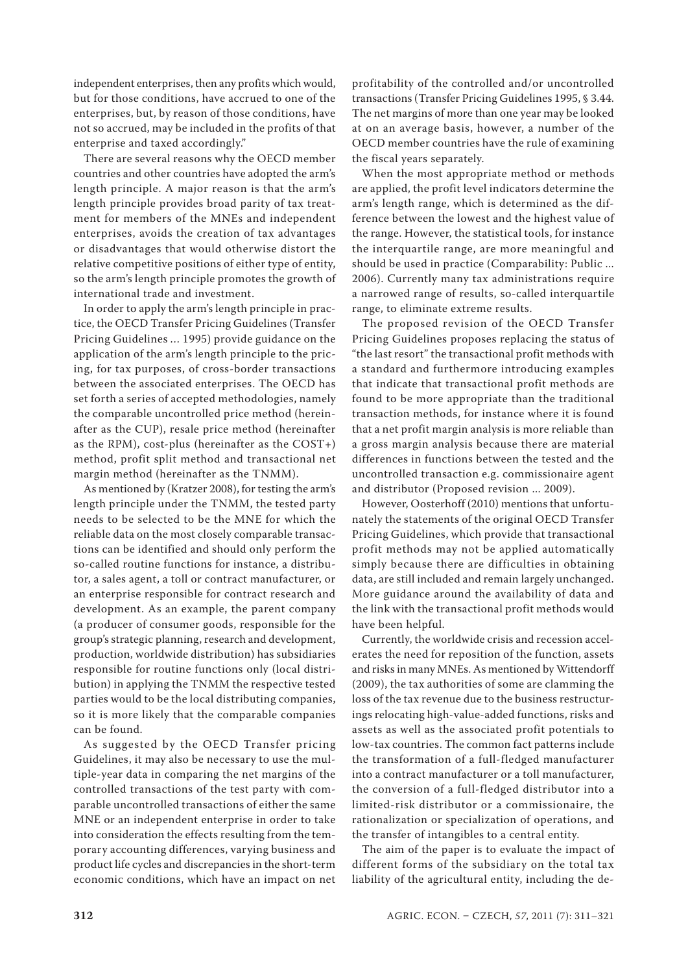independent enterprises, then any profits which would, but for those conditions, have accrued to one of the enterprises, but, by reason of those conditions, have not so accrued, may be included in the profits of that enterprise and taxed accordingly."

There are several reasons why the OECD member countries and other countries have adopted the arm's length principle. A major reason is that the arm's length principle provides broad parity of tax treatment for members of the MNEs and independent enterprises, avoids the creation of tax advantages or disadvantages that would otherwise distort the relative competitive positions of either type of entity, so the arm's length principle promotes the growth of international trade and investment.

In order to apply the arm's length principle in practice, the OECD Transfer Pricing Guidelines (Transfer Pricing Guidelines … 1995) provide guidance on the application of the arm's length principle to the pricing, for tax purposes, of cross-border transactions between the associated enterprises. The OECD has set forth a series of accepted methodologies, namely the comparable uncontrolled price method (hereinafter as the CUP), resale price method (hereinafter as the RPM), cost-plus (hereinafter as the COST+) method, profit split method and transactional net margin method (hereinafter as the TNMM).

As mentioned by (Kratzer 2008), for testing the arm's length principle under the TNMM, the tested party needs to be selected to be the MNE for which the reliable data on the most closely comparable transactions can be identified and should only perform the so-called routine functions for instance, a distributor, a sales agent, a toll or contract manufacturer, or an enterprise responsible for contract research and development. As an example, the parent company (a producer of consumer goods, responsible for the group's strategic planning, research and development, production, worldwide distribution) has subsidiaries responsible for routine functions only (local distribution) in applying the TNMM the respective tested parties would to be the local distributing companies, so it is more likely that the comparable companies can be found.

As suggested by the OECD Transfer pricing Guidelines, it may also be necessary to use the multiple-year data in comparing the net margins of the controlled transactions of the test party with comparable uncontrolled transactions of either the same MNE or an independent enterprise in order to take into consideration the effects resulting from the temporary accounting differences, varying business and product life cycles and discrepancies in the short-term economic conditions, which have an impact on net

profitability of the controlled and/or uncontrolled transactions (Transfer Pricing Guidelines 1995, § 3.44. The net margins of more than one year may be looked at on an average basis, however, a number of the OECD member countries have the rule of examining the fiscal years separately.

When the most appropriate method or methods are applied, the profit level indicators determine the arm's length range, which is determined as the difference between the lowest and the highest value of the range. However, the statistical tools, for instance the interquartile range, are more meaningful and should be used in practice (Comparability: Public ... 2006). Currently many tax administrations require a narrowed range of results, so-called interquartile range, to eliminate extreme results.

The proposed revision of the OECD Transfer Pricing Guidelines proposes replacing the status of "the last resort" the transactional profit methods with a standard and furthermore introducing examples that indicate that transactional profit methods are found to be more appropriate than the traditional transaction methods, for instance where it is found that a net profit margin analysis is more reliable than a gross margin analysis because there are material differences in functions between the tested and the uncontrolled transaction e.g. commissionaire agent and distributor (Proposed revision ... 2009).

However, Oosterhoff (2010) mentions that unfortunately the statements of the original OECD Transfer Pricing Guidelines, which provide that transactional profit methods may not be applied automatically simply because there are difficulties in obtaining data, are still included and remain largely unchanged. More guidance around the availability of data and the link with the transactional profit methods would have been helpful.

Currently, the worldwide crisis and recession accelerates the need for reposition of the function, assets and risks in many MNEs. As mentioned by Wittendorff (2009), the tax authorities of some are clamming the loss of the tax revenue due to the business restructurings relocating high-value-added functions, risks and assets as well as the associated profit potentials to low-tax countries. The common fact patterns include the transformation of a full-fledged manufacturer into a contract manufacturer or a toll manufacturer, the conversion of a full-fledged distributor into a limited-risk distributor or a commissionaire, the rationalization or specialization of operations, and the transfer of intangibles to a central entity.

The aim of the paper is to evaluate the impact of different forms of the subsidiary on the total tax liability of the agricultural entity, including the de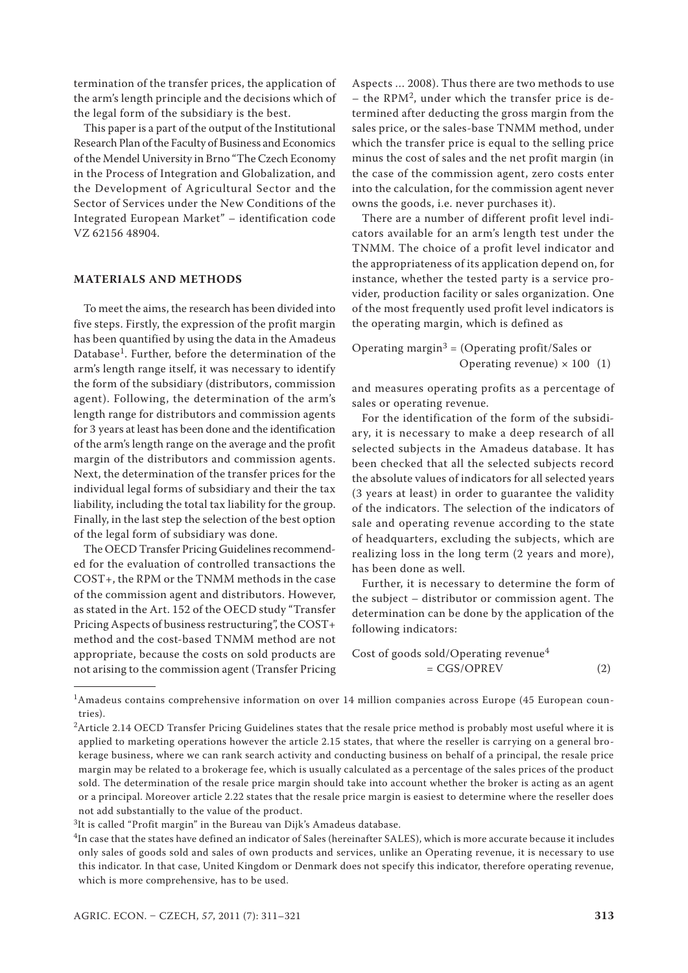termination of the transfer prices, the application of the arm's length principle and the decisions which of the legal form of the subsidiary is the best.

This paper is a part of the output of the Institutional Research Plan of the Faculty of Business and Economics of the Mendel University in Brno "The Czech Economy in the Process of Integration and Globalization, and the Development of Agricultural Sector and the Sector of Services under the New Conditions of the Integrated European Market" – identification code VZ 62156 48904.

#### **MATERIALS AND METHODS**

To meet the aims, the research has been divided into five steps. Firstly, the expression of the profit margin has been quantified by using the data in the Amadeus Database<sup>1</sup>. Further, before the determination of the arm's length range itself, it was necessary to identify the form of the subsidiary (distributors, commission agent). Following, the determination of the arm's length range for distributors and commission agents for 3 years at least has been done and the identification of the arm's length range on the average and the profit margin of the distributors and commission agents. Next, the determination of the transfer prices for the individual legal forms of subsidiary and their the tax liability, including the total tax liability for the group. Finally, in the last step the selection of the best option of the legal form of subsidiary was done.

The OECD Transfer Pricing Guidelines recommended for the evaluation of controlled transactions the COST+, the RPM or the TNMM methods in the case of the commission agent and distributors. However, as stated in the Art. 152 of the OECD study "Transfer Pricing Aspects of business restructuring", the COST+ method and the cost-based TNMM method are not appropriate, because the costs on sold products are not arising to the commission agent (Transfer Pricing

Aspects … 2008). Thus there are two methods to use – the RPM2, under which the transfer price is determined after deducting the gross margin from the sales price, or the sales-base TNMM method, under which the transfer price is equal to the selling price minus the cost of sales and the net profit margin (in the case of the commission agent, zero costs enter into the calculation, for the commission agent never owns the goods, i.e. never purchases it).

There are a number of different profit level indicators available for an arm's length test under the TNMM. The choice of a profit level indicator and the appropriateness of its application depend on, for instance, whether the tested party is a service provider, production facility or sales organization. One of the most frequently used profit level indicators is the operating margin, which is defined as

Operating margin<sup>3</sup> = (Operating profit/Sales or Operating revenue)  $\times$  100 (1)

and measures operating profits as a percentage of sales or operating revenue.

For the identification of the form of the subsidiary, it is necessary to make a deep research of all selected subjects in the Amadeus database. It has been checked that all the selected subjects record the absolute values of indicators for all selected years (3 years at least) in order to guarantee the validity of the indicators. The selection of the indicators of sale and operating revenue according to the state of headquarters, excluding the subjects, which are realizing loss in the long term (2 years and more), has been done as well.

Further, it is necessary to determine the form of the subject – distributor or commission agent. The determination can be done by the application of the following indicators:

Cost of goods sold/Operating revenue<sup>4</sup> = CGS/OPREV(2)

<sup>&</sup>lt;sup>1</sup>Amadeus contains comprehensive information on over 14 million companies across Europe (45 European countries).

<sup>&</sup>lt;sup>2</sup>Article 2.14 OECD Transfer Pricing Guidelines states that the resale price method is probably most useful where it is applied to marketing operations however the article 2.15 states, that where the reseller is carrying on a general brokerage business, where we can rank search activity and conducting business on behalf of a principal, the resale price margin may be related to a brokerage fee, which is usually calculated as a percentage of the sales prices of the product sold. The determination of the resale price margin should take into account whether the broker is acting as an agent or a principal. Moreover article 2.22 states that the resale price margin is easiest to determine where the reseller does not add substantially to the value of the product.

<sup>&</sup>lt;sup>3</sup>It is called "Profit margin" in the Bureau van Dijk's Amadeus database.

<sup>4</sup>In case that the states have defined an indicator of Sales (hereinafter SALES), which is more accurate because it includes only sales of goods sold and sales of own products and services, unlike an Operating revenue, it is necessary to use this indicator. In that case, United Kingdom or Denmark does not specify this indicator, therefore operating revenue, which is more comprehensive, has to be used.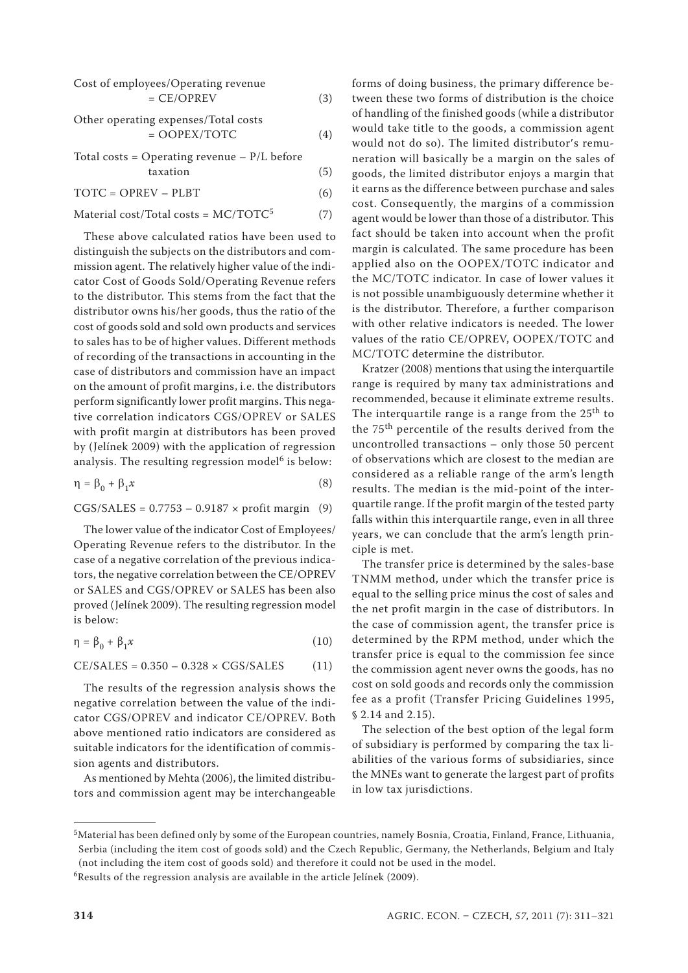Cost of employees/Operating revenue

\n
$$
= CE/OPREV
$$
\n(3)

\nOther generating response('Total cost)

= OOPEX/TOTC (4)

Total costs = Operating revenue  $-$  P/L before taxation (5)

 $\text{TOTC} = \text{OPREV} - \text{PLBT}$  (6)

Material cost/Total costs = MC/TOTC<sup>5</sup>(7)

These above calculated ratios have been used to distinguish the subjects on the distributors and commission agent. The relatively higher value of the indicator Cost of Goods Sold/Operating Revenue refers to the distributor. This stems from the fact that the distributor owns his/her goods, thus the ratio of the cost of goods sold and sold own products and services to sales has to be of higher values. Different methods of recording of the transactions in accounting in the case of distributors and commission have an impact on the amount of profit margins, i.e. the distributors perform significantly lower profit margins. This negative correlation indicators CGS/OPREV or SALES with profit margin at distributors has been proved by (Jelínek 2009) with the application of regression analysis. The resulting regression model<sup>6</sup> is below:

$$
\eta = \beta_0 + \beta_1 x \tag{8}
$$

 $CGS/SALES = 0.7753 - 0.9187 \times profit margin (9)$ 

The lower value of the indicator Cost of Employees/ Operating Revenue refers to the distributor. In the case of a negative correlation of the previous indicators, the negative correlation between the CE/OPREV or SALES and CGS/OPREV or SALES has been also proved (Jelínek 2009). The resulting regression model is below:

$$
\eta = \beta_0 + \beta_1 x \tag{10}
$$

$$
CE/SALES = 0.350 - 0.328 \times CGS/SALES \qquad (11)
$$

The results of the regression analysis shows the negative correlation between the value of the indicator CGS/OPREV and indicator CE/OPREV. Both above mentioned ratio indicators are considered as suitable indicators for the identification of commission agents and distributors.

As mentioned by Mehta (2006), the limited distributors and commission agent may be interchangeable forms of doing business, the primary difference between these two forms of distribution is the choice of handling of the finished goods (while a distributor would take title to the goods, a commission agent would not do so). The limited distributor′s remuneration will basically be a margin on the sales of goods, the limited distributor enjoys a margin that it earns as the difference between purchase and sales cost. Consequently, the margins of a commission agent would be lower than those of a distributor. This fact should be taken into account when the profit margin is calculated. The same procedure has been applied also on the OOPEX/TOTC indicator and the MC/TOTC indicator. In case of lower values it is not possible unambiguously determine whether it is the distributor. Therefore, a further comparison with other relative indicators is needed. The lower values of the ratio CE/OPREV, OOPEX/TOTC and MC/TOTC determine the distributor.

Kratzer (2008) mentions that using the interquartile range is required by many tax administrations and recommended, because it eliminate extreme results. The interquartile range is a range from the  $25<sup>th</sup>$  to the 75th percentile of the results derived from the uncontrolled transactions – only those 50 percent of observations which are closest to the median are considered as a reliable range of the arm's length results. The median is the mid-point of the interquartile range. If the profit margin of the tested party falls within this interquartile range, even in all three years, we can conclude that the arm's length principle is met.

The transfer price is determined by the sales-base TNMM method, under which the transfer price is equal to the selling price minus the cost of sales and the net profit margin in the case of distributors. In the case of commission agent, the transfer price is determined by the RPM method, under which the transfer price is equal to the commission fee since the commission agent never owns the goods, has no cost on sold goods and records only the commission fee as a profit (Transfer Pricing Guidelines 1995, § 2.14 and 2.15).

The selection of the best option of the legal form of subsidiary is performed by comparing the tax liabilities of the various forms of subsidiaries, since the MNEs want to generate the largest part of profits in low tax jurisdictions.

<sup>6</sup>Results of the regression analysis are available in the article Jelínek (2009).

 $5$ Material has been defined only by some of the European countries, namely Bosnia, Croatia, Finland, France, Lithuania, Serbia (including the item cost of goods sold) and the Czech Republic, Germany, the Netherlands, Belgium and Italy (not including the item cost of goods sold) and therefore it could not be used in the model.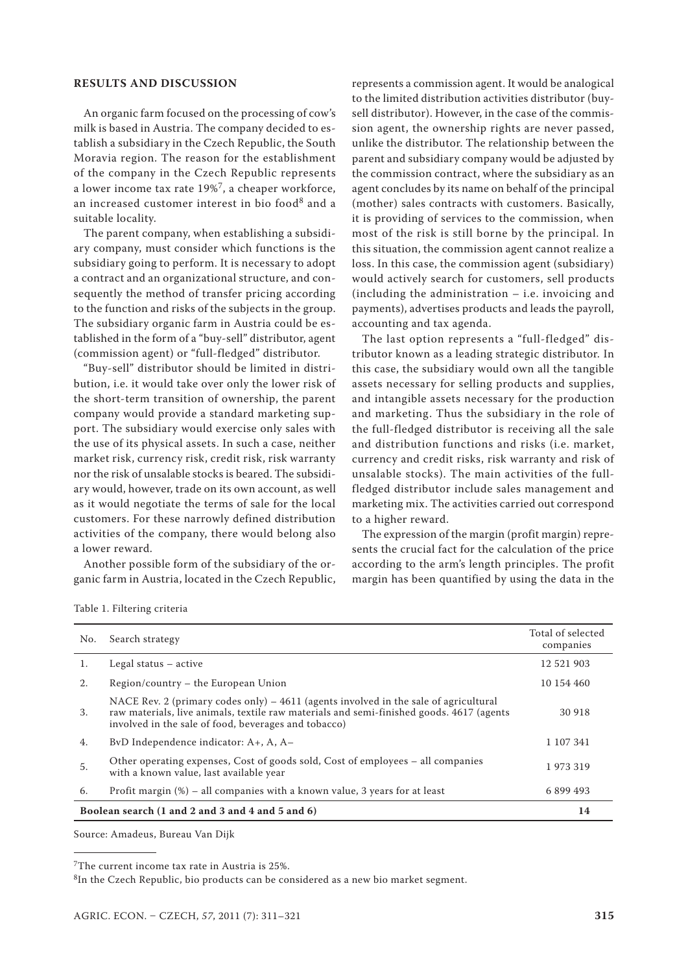### **RESULTS AND DISCUSSION**

An organic farm focused on the processing of cow's milk is based in Austria. The company decided to establish a subsidiary in the Czech Republic, the South Moravia region. The reason for the establishment of the company in the Czech Republic represents a lower income tax rate 19%7, a cheaper workforce, an increased customer interest in bio food<sup>8</sup> and a suitable locality.

The parent company, when establishing a subsidiary company, must consider which functions is the subsidiary going to perform. It is necessary to adopt a contract and an organizational structure, and consequently the method of transfer pricing according to the function and risks of the subjects in the group. The subsidiary organic farm in Austria could be established in the form of a "buy-sell" distributor, agent (commission agent) or "full-fledged" distributor.

"Buy-sell" distributor should be limited in distribution, i.e. it would take over only the lower risk of the short-term transition of ownership, the parent company would provide a standard marketing support. The subsidiary would exercise only sales with the use of its physical assets. In such a case, neither market risk, currency risk, credit risk, risk warranty nor the risk of unsalable stocks is beared. The subsidiary would, however, trade on its own account, as well as it would negotiate the terms of sale for the local customers. For these narrowly defined distribution activities of the company, there would belong also a lower reward.

Another possible form of the subsidiary of the organic farm in Austria, located in the Czech Republic, represents a commission agent. It would be analogical to the limited distribution activities distributor (buysell distributor). However, in the case of the commission agent, the ownership rights are never passed, unlike the distributor. The relationship between the parent and subsidiary company would be adjusted by the commission contract, where the subsidiary as an agent concludes by its name on behalf of the principal (mother) sales contracts with customers. Basically, it is providing of services to the commission, when most of the risk is still borne by the principal. In this situation, the commission agent cannot realize a loss. In this case, the commission agent (subsidiary) would actively search for customers, sell products (including the administration – i.e. invoicing and payments), advertises products and leads the payroll, accounting and tax agenda.

The last option represents a "full-fledged" distributor known as a leading strategic distributor. In this case, the subsidiary would own all the tangible assets necessary for selling products and supplies, and intangible assets necessary for the production and marketing. Thus the subsidiary in the role of the full-fledged distributor is receiving all the sale and distribution functions and risks (i.e. market, currency and credit risks, risk warranty and risk of unsalable stocks). The main activities of the fullfledged distributor include sales management and marketing mix. The activities carried out correspond to a higher reward.

The expression of the margin (profit margin) represents the crucial fact for the calculation of the price according to the arm's length principles. The profit margin has been quantified by using the data in the

|  |  | Table 1. Filtering criteria |  |
|--|--|-----------------------------|--|
|--|--|-----------------------------|--|

| No. | Search strategy                                                                                                                                                                                                                            | Total of selected<br>companies |
|-----|--------------------------------------------------------------------------------------------------------------------------------------------------------------------------------------------------------------------------------------------|--------------------------------|
| 1.  | Legal status $-$ active                                                                                                                                                                                                                    | 12 521 903                     |
| 2.  | Region/country – the European Union                                                                                                                                                                                                        | 10 154 460                     |
| 3.  | NACE Rev. 2 (primary codes only) $-$ 4611 (agents involved in the sale of agricultural<br>raw materials, live animals, textile raw materials and semi-finished goods. 4617 (agents<br>involved in the sale of food, beverages and tobacco) | 30 918                         |
| 4.  | BvD Independence indicator: A+, A, A-                                                                                                                                                                                                      | 1 107 341                      |
| 5.  | Other operating expenses, Cost of goods sold, Cost of employees – all companies<br>with a known value, last available year                                                                                                                 | 1973319                        |
| 6.  | Profit margin $(\%)$ – all companies with a known value, 3 years for at least                                                                                                                                                              | 6899493                        |
|     | Boolean search (1 and 2 and 3 and 4 and 5 and 6)                                                                                                                                                                                           | 14                             |

Source: Amadeus, Bureau Van Dijk

<sup>7</sup>The current income tax rate in Austria is 25%.

<sup>&</sup>lt;sup>8</sup>In the Czech Republic, bio products can be considered as a new bio market segment.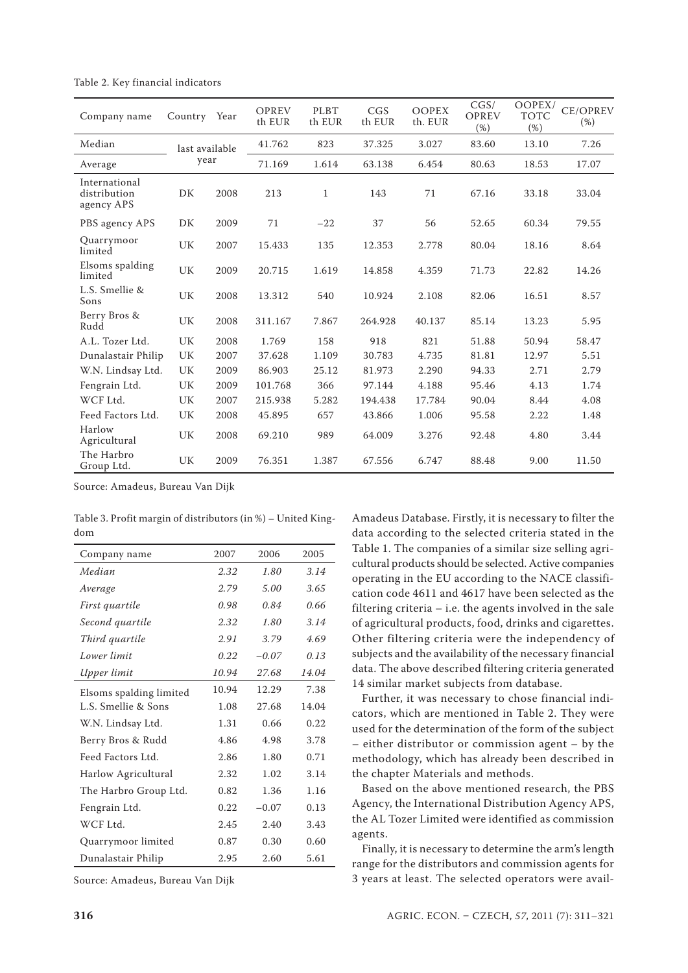| Company name                                | Country Year   |      | <b>OPREV</b><br>th EUR | PLBT<br>th EUR | CGS<br>th EUR | <b>OOPEX</b><br>th. EUR | CGS/<br><b>OPREV</b><br>(%) | OOPEX/<br><b>TOTC</b><br>(%) | <b>CE/OPREV</b><br>$(\%)$ |
|---------------------------------------------|----------------|------|------------------------|----------------|---------------|-------------------------|-----------------------------|------------------------------|---------------------------|
| Median                                      | last available |      | 41.762                 | 823            | 37.325        | 3.027                   | 83.60                       | 13.10                        | 7.26                      |
| Average                                     | year           |      | 71.169                 | 1.614          | 63.138        | 6.454                   | 80.63                       | 18.53                        | 17.07                     |
| International<br>distribution<br>agency APS | DK             | 2008 | 213                    | $\mathbf{1}$   | 143           | 71                      | 67.16                       | 33.18                        | 33.04                     |
| PBS agency APS                              | DK             | 2009 | 71                     | $-22$          | 37            | 56                      | 52.65                       | 60.34                        | 79.55                     |
| Quarrymoor<br>limited                       | UK             | 2007 | 15.433                 | 135            | 12.353        | 2.778                   | 80.04                       | 18.16                        | 8.64                      |
| Elsoms spalding<br>limited                  | UK             | 2009 | 20.715                 | 1.619          | 14.858        | 4.359                   | 71.73                       | 22.82                        | 14.26                     |
| L.S. Smellie &<br>Sons                      | UK             | 2008 | 13.312                 | 540            | 10.924        | 2.108                   | 82.06                       | 16.51                        | 8.57                      |
| Berry Bros &<br>Rudd                        | UK             | 2008 | 311.167                | 7.867          | 264.928       | 40.137                  | 85.14                       | 13.23                        | 5.95                      |
| A.L. Tozer Ltd.                             | UK             | 2008 | 1.769                  | 158            | 918           | 821                     | 51.88                       | 50.94                        | 58.47                     |
| Dunalastair Philip                          | UK             | 2007 | 37.628                 | 1.109          | 30.783        | 4.735                   | 81.81                       | 12.97                        | 5.51                      |
| W.N. Lindsay Ltd.                           | UK             | 2009 | 86.903                 | 25.12          | 81.973        | 2.290                   | 94.33                       | 2.71                         | 2.79                      |
| Fengrain Ltd.                               | <b>UK</b>      | 2009 | 101.768                | 366            | 97.144        | 4.188                   | 95.46                       | 4.13                         | 1.74                      |
| WCF Ltd.                                    | UK             | 2007 | 215.938                | 5.282          | 194.438       | 17.784                  | 90.04                       | 8.44                         | 4.08                      |
| Feed Factors Ltd.                           | UK             | 2008 | 45.895                 | 657            | 43.866        | 1.006                   | 95.58                       | 2.22                         | 1.48                      |
| Harlow<br>Agricultural                      | UK             | 2008 | 69.210                 | 989            | 64.009        | 3.276                   | 92.48                       | 4.80                         | 3.44                      |
| The Harbro<br>Group Ltd.                    | UK             | 2009 | 76.351                 | 1.387          | 67.556        | 6.747                   | 88.48                       | 9.00                         | 11.50                     |

Table 2. Key financial indicators

Source: Amadeus, Bureau Van Dijk

Table 3. Profit margin of distributors (in %) – United Kingdom

| Company name            | 2007  | 2006    | 2005  |
|-------------------------|-------|---------|-------|
| Median                  | 2.32  | 1.80    | 3.14  |
| Average                 | 2.79  | 5.00    | 3.65  |
| <i>First quartile</i>   | 0.98  | 0.84    | 0.66  |
| Second quartile         | 2.32  | 1.80    | 3.14  |
| Third quartile          | 2.91  | 3.79    | 4.69  |
| Lower limit             | 0.22  | $-0.07$ | 0.13  |
| Upper limit             | 10.94 | 27.68   | 14.04 |
| Elsoms spalding limited | 10.94 | 12.29   | 7.38  |
| L.S. Smellie & Sons     | 1.08  | 27.68   | 14.04 |
| W.N. Lindsay Ltd.       | 1.31  | 0.66    | 0.22  |
| Berry Bros & Rudd       | 4.86  | 4.98    | 3.78  |
| Feed Factors Ltd.       | 2.86  | 1.80    | 0.71  |
| Harlow Agricultural     | 2.32  | 1.02    | 3.14  |
| The Harbro Group Ltd.   | 0.82  | 1.36    | 1.16  |
| Fengrain Ltd.           | 0.22  | $-0.07$ | 0.13  |
| WCF Ltd.                | 2.45  | 2.40    | 3.43  |
| Quarrymoor limited      | 0.87  | 0.30    | 0.60  |
| Dunalastair Philip      | 2.95  | 2.60    | 5.61  |

Source: Amadeus, Bureau Van Dijk

Amadeus Database. Firstly, it is necessary to filter the data according to the selected criteria stated in the Table 1. The companies of a similar size selling agricultural products should be selected. Active companies operating in the EU according to the NACE classification code 4611 and 4617 have been selected as the filtering criteria – i.e. the agents involved in the sale of agricultural products, food, drinks and cigarettes. Other filtering criteria were the independency of subjects and the availability of the necessary financial data. The above described filtering criteria generated 14 similar market subjects from database.

Further, it was necessary to chose financial indicators, which are mentioned in Table 2. They were used for the determination of the form of the subject – either distributor or commission agent – by the methodology, which has already been described in the chapter Materials and methods.

Based on the above mentioned research, the PBS Agency, the International Distribution Agency APS, the AL Tozer Limited were identified as commission agents.

Finally, it is necessary to determine the arm's length range for the distributors and commission agents for 3 years at least. The selected operators were avail-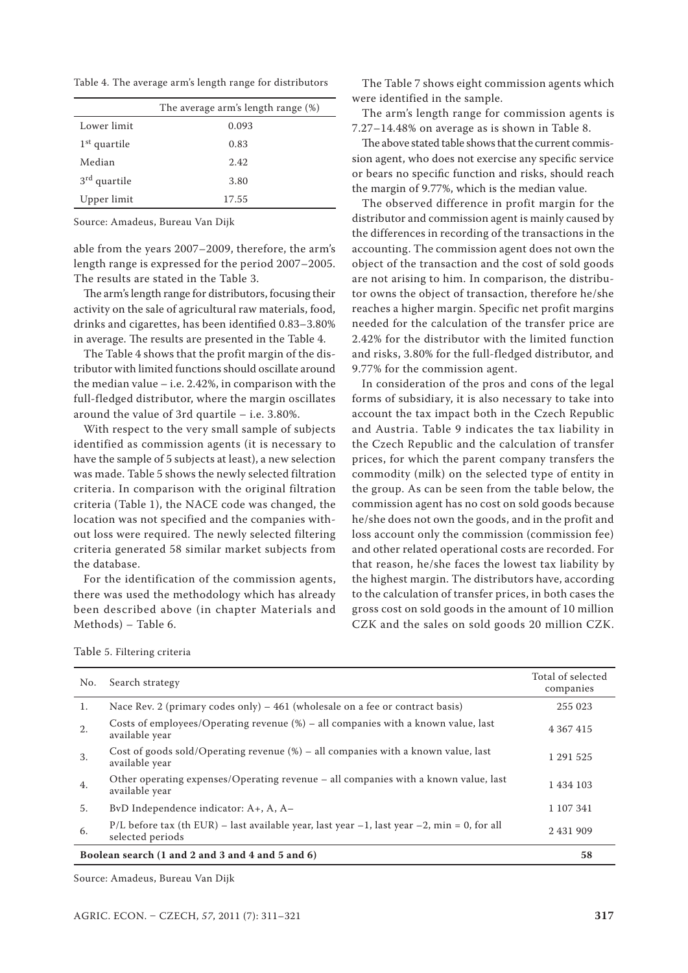Table 4. The average arm's length range for distributors

|                          | The average arm's length range (%) |
|--------------------------|------------------------------------|
| Lower limit              | 0.093                              |
| $1st$ quartile           | 0.83                               |
| Median                   | 2.42                               |
| 3 <sup>rd</sup> quartile | 3.80                               |
| Upper limit              | 17.55                              |

Source: Amadeus, Bureau Van Dijk

able from the years 2007–2009, therefore, the arm's length range is expressed for the period 2007–2005. The results are stated in the Table 3.

The arm's length range for distributors, focusing their activity on the sale of agricultural raw materials, food, drinks and cigarettes, has been identified 0.83–3.80% in average. The results are presented in the Table 4.

The Table 4 shows that the profit margin of the distributor with limited functions should oscillate around the median value – i.e. 2.42%, in comparison with the full-fledged distributor, where the margin oscillates around the value of 3rd quartile – i.e. 3.80%.

With respect to the very small sample of subjects identified as commission agents (it is necessary to have the sample of 5 subjects at least), a new selection was made. Table 5 shows the newly selected filtration criteria. In comparison with the original filtration criteria (Table 1), the NACE code was changed, the location was not specified and the companies without loss were required. The newly selected filtering criteria generated 58 similar market subjects from the database.

For the identification of the commission agents, there was used the methodology which has already been described above (in chapter Materials and Methods) – Table 6.

The Table 7 shows eight commission agents which were identified in the sample.

The arm's length range for commission agents is 7.27–14.48% on average as is shown in Table 8.

The above stated table shows that the current commission agent, who does not exercise any specific service or bears no specific function and risks, should reach the margin of 9.77%, which is the median value.

The observed difference in profit margin for the distributor and commission agent is mainly caused by the differences in recording of the transactions in the accounting. The commission agent does not own the object of the transaction and the cost of sold goods are not arising to him. In comparison, the distributor owns the object of transaction, therefore he/she reaches a higher margin. Specific net profit margins needed for the calculation of the transfer price are 2.42% for the distributor with the limited function and risks, 3.80% for the full-fledged distributor, and 9.77% for the commission agent.

In consideration of the pros and cons of the legal forms of subsidiary, it is also necessary to take into account the tax impact both in the Czech Republic and Austria. Table 9 indicates the tax liability in the Czech Republic and the calculation of transfer prices, for which the parent company transfers the commodity (milk) on the selected type of entity in the group. As can be seen from the table below, the commission agent has no cost on sold goods because he/she does not own the goods, and in the profit and loss account only the commission (commission fee) and other related operational costs are recorded. For that reason, he/she faces the lowest tax liability by the highest margin. The distributors have, according to the calculation of transfer prices, in both cases the gross cost on sold goods in the amount of 10 million CZK and the sales on sold goods 20 million CZK.

Table 5. Filtering criteria

| No. | Search strategy                                                                                                       | Total of selected<br>companies |
|-----|-----------------------------------------------------------------------------------------------------------------------|--------------------------------|
| 1.  | Nace Rev. 2 (primary codes only) $-461$ (wholesale on a fee or contract basis)                                        | 255 023                        |
| 2.  | Costs of employees/Operating revenue $(\%)$ – all companies with a known value, last<br>available year                | 4 3 6 7 4 1 5                  |
| 3.  | Cost of goods sold/Operating revenue $(\%)$ – all companies with a known value, last<br>available year                | 1 291 525                      |
| 4.  | Other operating expenses/Operating revenue – all companies with a known value, last<br>available year                 | 1 434 103                      |
| 5.  | BvD Independence indicator: A+, A, A-                                                                                 | 1 107 341                      |
| 6.  | P/L before tax (th EUR) - last available year, last year $-1$ , last year $-2$ , min = 0, for all<br>selected periods | 2 431 909                      |
|     | Boolean search (1 and 2 and 3 and 4 and 5 and 6)                                                                      | 58                             |

Source: Amadeus, Bureau Van Dijk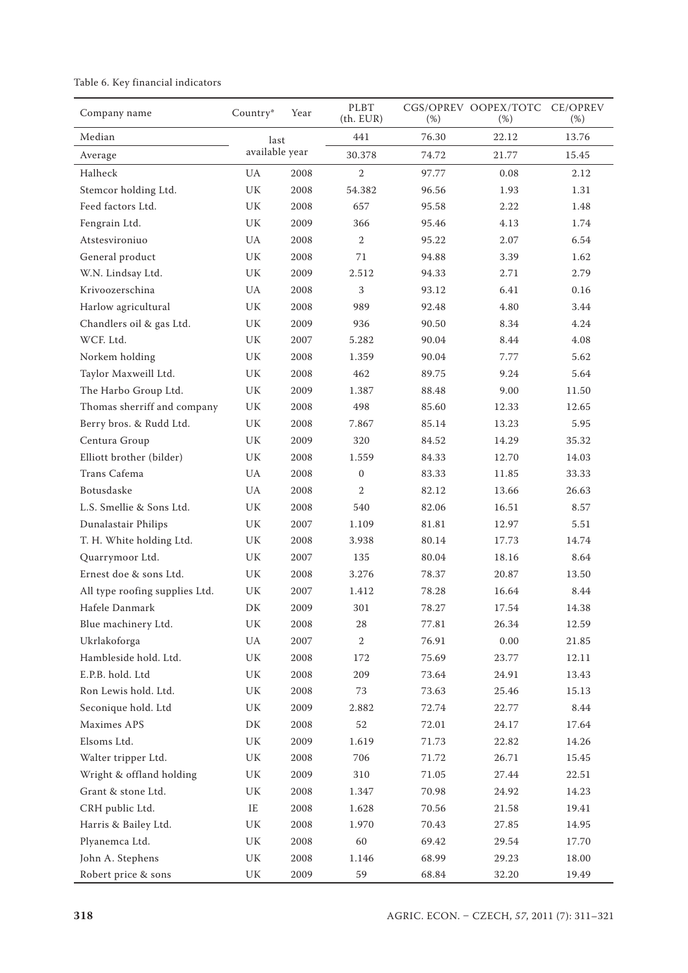| Company name                   | Country*               | Year | PLBT<br>(th. EUR) | (%)   | CGS/OPREV OOPEX/TOTC<br>(%) | CE/OPREV<br>(%) |
|--------------------------------|------------------------|------|-------------------|-------|-----------------------------|-----------------|
| Median                         | last                   |      | 441               | 76.30 | 22.12                       | 13.76           |
| Average                        | available year         |      | 30.378            | 74.72 | 21.77                       | 15.45           |
| Halheck                        | <b>UA</b>              | 2008 | $\overline{2}$    | 97.77 | 0.08                        | 2.12            |
| Stemcor holding Ltd.           | UK                     | 2008 | 54.382            | 96.56 | 1.93                        | 1.31            |
| Feed factors Ltd.              | UK                     | 2008 | 657               | 95.58 | 2.22                        | 1.48            |
| Fengrain Ltd.                  | UK                     | 2009 | 366               | 95.46 | 4.13                        | 1.74            |
| Atstesvironiuo                 | <b>UA</b>              | 2008 | 2                 | 95.22 | 2.07                        | 6.54            |
| General product                | UK                     | 2008 | 71                | 94.88 | 3.39                        | 1.62            |
| W.N. Lindsay Ltd.              | UK                     | 2009 | 2.512             | 94.33 | 2.71                        | 2.79            |
| Krivoozerschina                | <b>UA</b>              | 2008 | 3                 | 93.12 | 6.41                        | 0.16            |
| Harlow agricultural            | UK                     | 2008 | 989               | 92.48 | 4.80                        | 3.44            |
| Chandlers oil & gas Ltd.       | UK                     | 2009 | 936               | 90.50 | 8.34                        | 4.24            |
| WCF. Ltd.                      | UK                     | 2007 | 5.282             | 90.04 | 8.44                        | 4.08            |
| Norkem holding                 | UK                     | 2008 | 1.359             | 90.04 | 7.77                        | 5.62            |
| Taylor Maxweill Ltd.           | UK                     | 2008 | 462               | 89.75 | 9.24                        | 5.64            |
| The Harbo Group Ltd.           | UK                     | 2009 | 1.387             | 88.48 | 9.00                        | 11.50           |
| Thomas sherriff and company    | UK                     | 2008 | 498               | 85.60 | 12.33                       | 12.65           |
| Berry bros. & Rudd Ltd.        | UK                     | 2008 | 7.867             | 85.14 | 13.23                       | 5.95            |
| Centura Group                  | UK                     | 2009 | 320               | 84.52 | 14.29                       | 35.32           |
| Elliott brother (bilder)       | UK                     | 2008 | 1.559             | 84.33 | 12.70                       | 14.03           |
| Trans Cafema                   | <b>UA</b>              | 2008 | $\mathbf{0}$      | 83.33 | 11.85                       | 33.33           |
| Botusdaske                     | <b>UA</b>              | 2008 | $\overline{2}$    | 82.12 | 13.66                       | 26.63           |
| L.S. Smellie & Sons Ltd.       | UK                     | 2008 | 540               | 82.06 | 16.51                       | 8.57            |
| Dunalastair Philips            | UK                     | 2007 | 1.109             | 81.81 | 12.97                       | 5.51            |
| T. H. White holding Ltd.       | UK                     | 2008 | 3.938             | 80.14 | 17.73                       | 14.74           |
| Quarrymoor Ltd.                | UK                     | 2007 | 135               | 80.04 | 18.16                       | 8.64            |
| Ernest doe & sons Ltd.         | UK                     | 2008 | 3.276             | 78.37 | 20.87                       | 13.50           |
| All type roofing supplies Ltd. | UK                     | 2007 | 1.412             | 78.28 | 16.64                       | 8.44            |
| Hafele Danmark                 | DK                     | 2009 | 301               | 78.27 | 17.54                       | 14.38           |
| Blue machinery Ltd.            | UK                     | 2008 | 28                | 77.81 | 26.34                       | 12.59           |
| Ukrlakoforga                   | $\mathsf{U}\mathsf{A}$ | 2007 | $\overline{2}$    | 76.91 | $0.00\,$                    | 21.85           |
| Hambleside hold. Ltd.          | UK                     | 2008 | 172               | 75.69 | 23.77                       | 12.11           |
| E.P.B. hold. Ltd               | UK                     | 2008 | 209               | 73.64 | 24.91                       | 13.43           |
| Ron Lewis hold. Ltd.           | UK                     | 2008 | 73                | 73.63 | 25.46                       | 15.13           |
| Seconique hold. Ltd            | UK                     | 2009 | 2.882             | 72.74 | 22.77                       | 8.44            |
| Maximes APS                    | DK                     | 2008 | 52                | 72.01 | 24.17                       | 17.64           |
| Elsoms Ltd.                    | UK                     | 2009 | 1.619             | 71.73 | 22.82                       | 14.26           |
| Walter tripper Ltd.            | UK                     | 2008 | 706               | 71.72 | 26.71                       | 15.45           |
| Wright & offland holding       | UK                     | 2009 | 310               | 71.05 | 27.44                       | 22.51           |
| Grant & stone Ltd.             | UK                     | 2008 | 1.347             | 70.98 | 24.92                       | 14.23           |
| CRH public Ltd.                | IE                     | 2008 | 1.628             | 70.56 | 21.58                       | 19.41           |
| Harris & Bailey Ltd.           | UK                     | 2008 | 1.970             | 70.43 | 27.85                       | 14.95           |
| Plyanemca Ltd.                 | UK                     | 2008 | 60                | 69.42 | 29.54                       | 17.70           |
| John A. Stephens               | UK                     | 2008 | 1.146             | 68.99 | 29.23                       | 18.00           |
| Robert price & sons            | UK                     | 2009 | 59                | 68.84 | 32.20                       | 19.49           |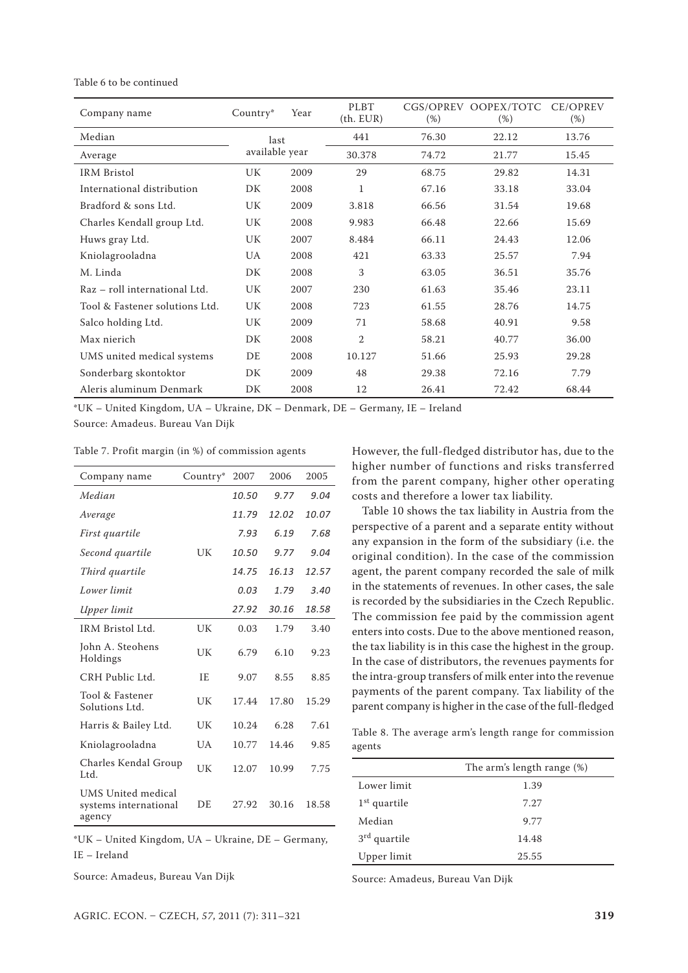|  |  |  | Table 6 to be continued |  |
|--|--|--|-------------------------|--|
|--|--|--|-------------------------|--|

| Company name                   | $Country*$     | Year | PLBT<br>(th. EUR) | (% )  | CGS/OPREV OOPEX/TOTC<br>(%) | CE/OPREV<br>(%) |
|--------------------------------|----------------|------|-------------------|-------|-----------------------------|-----------------|
| Median                         | last           |      | 441               | 76.30 | 22.12                       | 13.76           |
| Average                        | available year |      | 30.378            | 74.72 | 21.77                       | 15.45           |
| IRM Bristol                    | UK             | 2009 | 29                | 68.75 | 29.82                       | 14.31           |
| International distribution     | DK             | 2008 | 1                 | 67.16 | 33.18                       | 33.04           |
| Bradford & sons Ltd.           | UK             | 2009 | 3.818             | 66.56 | 31.54                       | 19.68           |
| Charles Kendall group Ltd.     | UK             | 2008 | 9.983             | 66.48 | 22.66                       | 15.69           |
| Huws gray Ltd.                 | UK             | 2007 | 8.484             | 66.11 | 24.43                       | 12.06           |
| Kniolagrooladna                | <b>UA</b>      | 2008 | 421               | 63.33 | 25.57                       | 7.94            |
| M. Linda                       | DK             | 2008 | 3                 | 63.05 | 36.51                       | 35.76           |
| Raz - roll international Ltd.  | UK             | 2007 | 230               | 61.63 | 35.46                       | 23.11           |
| Tool & Fastener solutions Ltd. | UK             | 2008 | 723               | 61.55 | 28.76                       | 14.75           |
| Salco holding Ltd.             | UK             | 2009 | 71                | 58.68 | 40.91                       | 9.58            |
| Max nierich                    | DK             | 2008 | $\overline{2}$    | 58.21 | 40.77                       | 36.00           |
| UMS united medical systems     | DE             | 2008 | 10.127            | 51.66 | 25.93                       | 29.28           |
| Sonderbarg skontoktor          | DK             | 2009 | 48                | 29.38 | 72.16                       | 7.79            |
| Aleris aluminum Denmark        | DK             | 2008 | 12                | 26.41 | 72.42                       | 68.44           |

\*UK – United Kingdom, UA – Ukraine, DK – Denmark, DE – Germany, IE – Ireland Source: Amadeus. Bureau Van Dijk

Table 7. Profit margin (in %) of commission agents

| Company name                                          | Country*  | 2007  | 2006  | 2005  |
|-------------------------------------------------------|-----------|-------|-------|-------|
| Median                                                |           | 10.50 | 9.77  | 9.04  |
| Average                                               |           | 11.79 | 12.02 | 10.07 |
| First quartile                                        |           | 7.93  | 6.19  | 7.68  |
| Second quartile                                       | UK        | 10.50 | 9.77  | 9.04  |
| Third quartile                                        |           | 14.75 | 16.13 | 12.57 |
| Lower limit                                           |           | 0.03  | 1.79  | 3.40  |
| Upper limit                                           |           | 27.92 | 30.16 | 18.58 |
| IRM Bristol Ltd.                                      | UK        | 0.03  | 1.79  | 3.40  |
| John A. Steohens<br>Holdings                          | UK        | 6.79  | 6.10  | 9.23  |
| CRH Public Ltd.                                       | IΕ.       | 9.07  | 8.55  | 8.85  |
| Tool & Fastener<br>Solutions Ltd.                     | UK        | 17.44 | 17.80 | 15.29 |
| Harris & Bailey Ltd.                                  | UK        | 10.24 | 6.28  | 7.61  |
| Kniolagrooladna                                       | <b>UA</b> | 10.77 | 14.46 | 9.85  |
| Charles Kendal Group<br>Ltd.                          | UK        | 12.07 | 10.99 | 7.75  |
| UMS United medical<br>systems international<br>agency | DE.       | 27.92 | 30.16 | 18.58 |

\*UK – United Kingdom, UA – Ukraine, DE – Germany, IE – Ireland

Source: Amadeus, Bureau Van Dijk

However, the full-fledged distributor has, due to the higher number of functions and risks transferred from the parent company, higher other operating costs and therefore a lower tax liability.

Table 10 shows the tax liability in Austria from the perspective of a parent and a separate entity without any expansion in the form of the subsidiary (i.e. the original condition). In the case of the commission agent, the parent company recorded the sale of milk in the statements of revenues. In other cases, the sale is recorded by the subsidiaries in the Czech Republic. The commission fee paid by the commission agent enters into costs. Due to the above mentioned reason, the tax liability is in this case the highest in the group. In the case of distributors, the revenues payments for the intra-group transfers of milk enter into the revenue payments of the parent company. Tax liability of the parent company is higher in the case of the full-fledged

Table 8. The average arm's length range for commission agents

|                | The arm's length range (%) |  |
|----------------|----------------------------|--|
| Lower limit    | 1.39                       |  |
| $1st$ quartile | 7.27                       |  |
| Median         | 9.77                       |  |
| $3rd$ quartile | 14.48                      |  |
| Upper limit    | 25.55                      |  |

Source: Amadeus, Bureau Van Dijk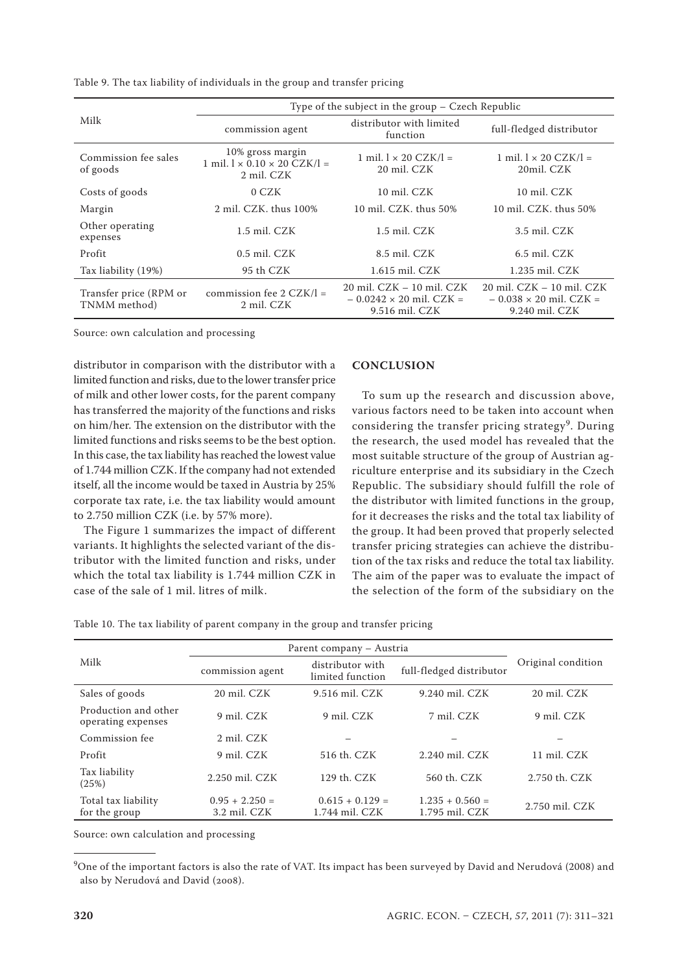|                                        | Type of the subject in the group $-$ Czech Republic                                |                                                                                     |                                                                                    |  |
|----------------------------------------|------------------------------------------------------------------------------------|-------------------------------------------------------------------------------------|------------------------------------------------------------------------------------|--|
| Milk                                   | commission agent                                                                   | distributor with limited<br>function                                                | full-fledged distributor                                                           |  |
| Commission fee sales<br>of goods       | 10% gross margin<br>1 mil. $1 \times 0.10 \times 20 \text{ CZK/l} =$<br>2 mil. CZK | 1 mil. $1 \times 20$ CZK/l =<br>20 mil. CZK                                         | 1 mil. $1 \times 20$ CZK/l =<br>20mil. CZK                                         |  |
| Costs of goods                         | 0 CZK                                                                              | 10 mil. CZK                                                                         | 10 mil. CZK                                                                        |  |
| Margin                                 | $2$ mil. CZK, thus $100\%$                                                         | $10$ mil. CZK, thus $50\%$                                                          | $10$ mil. CZK, thus $50\%$                                                         |  |
| Other operating<br>expenses            | $1.5$ mil. $CZK$                                                                   | $1.5$ mil. $CZK$                                                                    | 3.5 mil. CZK                                                                       |  |
| Profit                                 | $0.5$ mil. $CZK$                                                                   | 8.5 mil. CZK                                                                        | 6.5 mil. CZK                                                                       |  |
| Tax liability (19%)                    | 95 th CZK                                                                          | $1.615$ mil. CZK                                                                    | $1.235$ mil. CZK                                                                   |  |
| Transfer price (RPM or<br>TNMM method) | commission fee $2 CZK/I =$<br>2 mil. CZK                                           | $20$ mil. $CZK - 10$ mil. $CZK$<br>$-0.0242 \times 20$ mil. CZK =<br>9.516 mil. CZK | $20$ mil. $CZK - 10$ mil. $CZK$<br>$-0.038 \times 20$ mil. CZK =<br>9.240 mil. CZK |  |

Table 9. The tax liability of individuals in the group and transfer pricing

Source: own calculation and processing

distributor in comparison with the distributor with a limited function and risks, due to the lower transfer price of milk and other lower costs, for the parent company has transferred the majority of the functions and risks on him/her. The extension on the distributor with the limited functions and risks seems to be the best option. In this case, the tax liability has reached the lowest value of 1.744 million CZK. If the company had not extended itself, all the income would be taxed in Austria by 25% corporate tax rate, i.e. the tax liability would amount to 2.750 million CZK (i.e. by 57% more).

The Figure 1 summarizes the impact of different variants. It highlights the selected variant of the distributor with the limited function and risks, under which the total tax liability is 1.744 million CZK in case of the sale of 1 mil. litres of milk.

#### **Conclusion**

To sum up the research and discussion above, various factors need to be taken into account when considering the transfer pricing strategy<sup>9</sup>. During the research, the used model has revealed that the most suitable structure of the group of Austrian agriculture enterprise and its subsidiary in the Czech Republic. The subsidiary should fulfill the role of the distributor with limited functions in the group, for it decreases the risks and the total tax liability of the group. It had been proved that properly selected transfer pricing strategies can achieve the distribution of the tax risks and reduce the total tax liability. The aim of the paper was to evaluate the impact of the selection of the form of the subsidiary on the

Table 10. The tax liability of parent company in the group and transfer pricing

|                                            | Parent company - Austria         |                                      |                                     |                    |
|--------------------------------------------|----------------------------------|--------------------------------------|-------------------------------------|--------------------|
| Milk                                       | commission agent                 | distributor with<br>limited function | full-fledged distributor            | Original condition |
| Sales of goods                             | 20 mil. CZK                      | 9.516 mil. CZK                       | 9.240 mil. CZK                      | 20 mil. CZK        |
| Production and other<br>operating expenses | 9 mil. CZK                       | 9 mil. CZK                           | 7 mil. CZK                          | 9 mil. CZK         |
| Commission fee                             | 2 mil. CZK                       |                                      |                                     |                    |
| Profit                                     | 9 mil. CZK                       | 516 th. CZK                          | 2.240 mil. CZK                      | 11 mil. CZK        |
| Tax liability<br>(25%)                     | 2.250 mil. CZK                   | 129 th. CZK                          | 560 th. CZK                         | 2.750 th, CZK      |
| Total tax liability<br>for the group       | $0.95 + 2.250 =$<br>3.2 mil. CZK | $0.615 + 0.129 =$<br>1.744 mil. CZK  | $1.235 + 0.560 =$<br>1.795 mil. CZK | 2.750 mil. CZK     |

Source: own calculation and processing

9One of the important factors is also the rate of VAT. Its impact has been surveyed by David and Nerudová (2008) and also by Nerudová and David (2008).